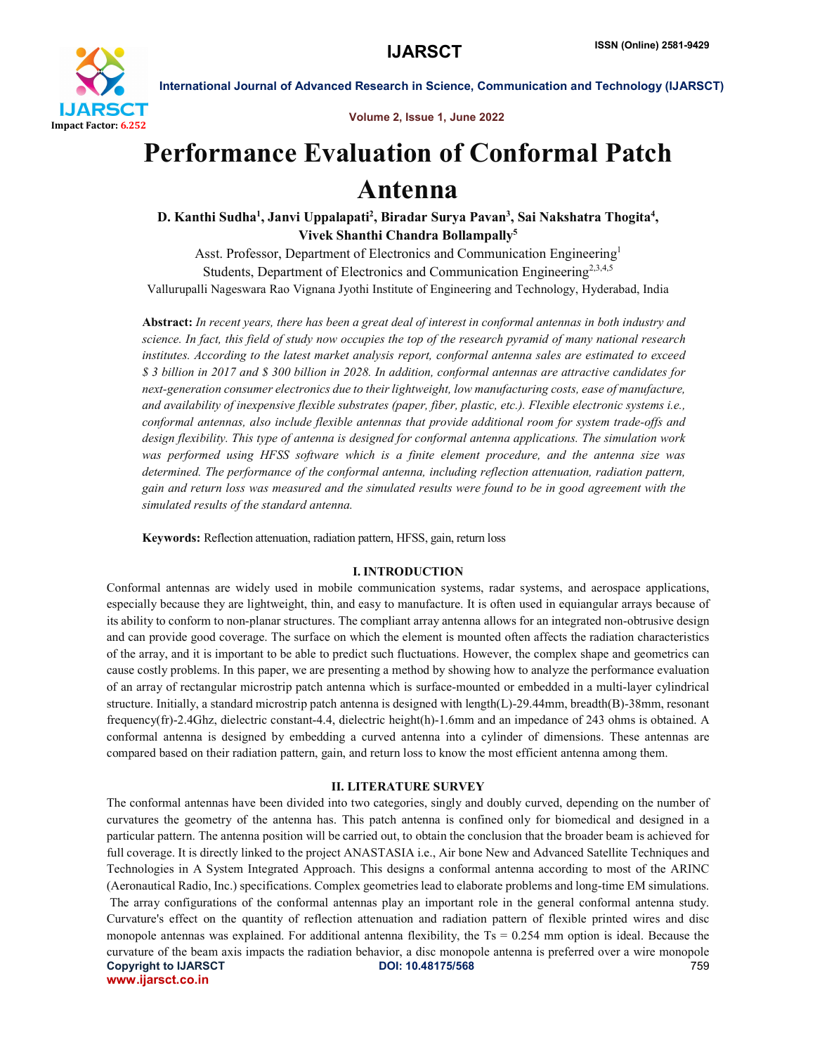

International Journal of Advanced Research in Science, Communication and Technology (IJARSCT)

Volume 2, Issue 1, June 2022

## Performance Evaluation of Conformal Patch Antenna

D. Kanthi Sudha<sup>1</sup>, Janvi Uppalapati<sup>2</sup>, Biradar Surya Pavan<sup>3</sup>, Sai Nakshatra Thogita<sup>4</sup>, Vivek Shanthi Chandra Bollampally5

Asst. Professor, Department of Electronics and Communication Engineering<sup>1</sup> Students, Department of Electronics and Communication Engineering<sup>2,3,4,5</sup> Vallurupalli Nageswara Rao Vignana Jyothi Institute of Engineering and Technology, Hyderabad, India

Abstract: *In recent years, there has been a great deal of interest in conformal antennas in both industry and science. In fact, this field of study now occupies the top of the research pyramid of many national research institutes. According to the latest market analysis report, conformal antenna sales are estimated to exceed \$ 3 billion in 2017 and \$ 300 billion in 2028. In addition, conformal antennas are attractive candidates for next-generation consumer electronics due to their lightweight, low manufacturing costs, ease of manufacture, and availability of inexpensive flexible substrates (paper, fiber, plastic, etc.). Flexible electronic systems i.e., conformal antennas, also include flexible antennas that provide additional room for system trade-offs and design flexibility. This type of antenna is designed for conformal antenna applications. The simulation work was performed using HFSS software which is a finite element procedure, and the antenna size was determined. The performance of the conformal antenna, including reflection attenuation, radiation pattern, gain and return loss was measured and the simulated results were found to be in good agreement with the simulated results of the standard antenna.*

Keywords: Reflection attenuation, radiation pattern, HFSS, gain, return loss

## I. INTRODUCTION

Conformal antennas are widely used in mobile communication systems, radar systems, and aerospace applications, especially because they are lightweight, thin, and easy to manufacture. It is often used in equiangular arrays because of its ability to conform to non-planar structures. The compliant array antenna allows for an integrated non-obtrusive design and can provide good coverage. The surface on which the element is mounted often affects the radiation characteristics of the array, and it is important to be able to predict such fluctuations. However, the complex shape and geometrics can cause costly problems. In this paper, we are presenting a method by showing how to analyze the performance evaluation of an array of rectangular microstrip patch antenna which is surface-mounted or embedded in a multi-layer cylindrical structure. Initially, a standard microstrip patch antenna is designed with length(L)-29.44mm, breadth(B)-38mm, resonant frequency(fr)-2.4Ghz, dielectric constant-4.4, dielectric height(h)-1.6mm and an impedance of 243 ohms is obtained. A conformal antenna is designed by embedding a curved antenna into a cylinder of dimensions. These antennas are compared based on their radiation pattern, gain, and return loss to know the most efficient antenna among them.

## II. LITERATURE SURVEY

Copyright to IJARSCT **DOI: 10.48175/568 DOI: 10.48175/568** 759 www.ijarsct.co.in The conformal antennas have been divided into two categories, singly and doubly curved, depending on the number of curvatures the geometry of the antenna has. This patch antenna is confined only for biomedical and designed in a particular pattern. The antenna position will be carried out, to obtain the conclusion that the broader beam is achieved for full coverage. It is directly linked to the project ANASTASIA i.e., Air bone New and Advanced Satellite Techniques and Technologies in A System Integrated Approach. This designs a conformal antenna according to most of the ARINC (Aeronautical Radio, Inc.) specifications. Complex geometries lead to elaborate problems and long-time EM simulations. The array configurations of the conformal antennas play an important role in the general conformal antenna study. Curvature's effect on the quantity of reflection attenuation and radiation pattern of flexible printed wires and disc monopole antennas was explained. For additional antenna flexibility, the  $Ts = 0.254$  mm option is ideal. Because the curvature of the beam axis impacts the radiation behavior, a disc monopole antenna is preferred over a wire monopole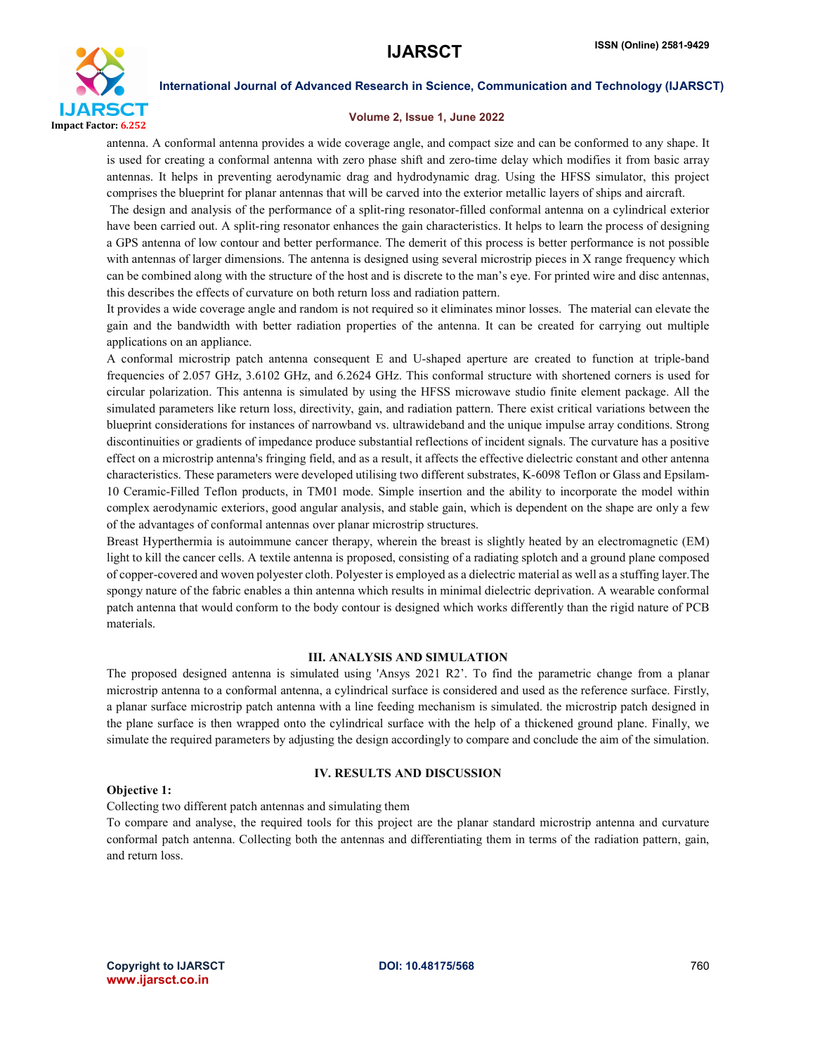

International Journal of Advanced Research in Science, Communication and Technology (IJARSCT)

### Volume 2, Issue 1, June 2022

antenna. A conformal antenna provides a wide coverage angle, and compact size and can be conformed to any shape. It is used for creating a conformal antenna with zero phase shift and zero-time delay which modifies it from basic array antennas. It helps in preventing aerodynamic drag and hydrodynamic drag. Using the HFSS simulator, this project comprises the blueprint for planar antennas that will be carved into the exterior metallic layers of ships and aircraft.

The design and analysis of the performance of a split-ring resonator-filled conformal antenna on a cylindrical exterior have been carried out. A split-ring resonator enhances the gain characteristics. It helps to learn the process of designing a GPS antenna of low contour and better performance. The demerit of this process is better performance is not possible with antennas of larger dimensions. The antenna is designed using several microstrip pieces in X range frequency which can be combined along with the structure of the host and is discrete to the man's eye. For printed wire and disc antennas, this describes the effects of curvature on both return loss and radiation pattern.

It provides a wide coverage angle and random is not required so it eliminates minor losses. The material can elevate the gain and the bandwidth with better radiation properties of the antenna. It can be created for carrying out multiple applications on an appliance.

A conformal microstrip patch antenna consequent E and U-shaped aperture are created to function at triple-band frequencies of 2.057 GHz, 3.6102 GHz, and 6.2624 GHz. This conformal structure with shortened corners is used for circular polarization. This antenna is simulated by using the HFSS microwave studio finite element package. All the simulated parameters like return loss, directivity, gain, and radiation pattern. There exist critical variations between the blueprint considerations for instances of narrowband vs. ultrawideband and the unique impulse array conditions. Strong discontinuities or gradients of impedance produce substantial reflections of incident signals. The curvature has a positive effect on a microstrip antenna's fringing field, and as a result, it affects the effective dielectric constant and other antenna characteristics. These parameters were developed utilising two different substrates, K-6098 Teflon or Glass and Epsilam-10 Ceramic-Filled Teflon products, in TM01 mode. Simple insertion and the ability to incorporate the model within complex aerodynamic exteriors, good angular analysis, and stable gain, which is dependent on the shape are only a few of the advantages of conformal antennas over planar microstrip structures.

Breast Hyperthermia is autoimmune cancer therapy, wherein the breast is slightly heated by an electromagnetic (EM) light to kill the cancer cells. A textile antenna is proposed, consisting of a radiating splotch and a ground plane composed of copper-covered and woven polyester cloth. Polyester is employed as a dielectric material as well as a stuffing layer.The spongy nature of the fabric enables a thin antenna which results in minimal dielectric deprivation. A wearable conformal patch antenna that would conform to the body contour is designed which works differently than the rigid nature of PCB materials.

### III. ANALYSIS AND SIMULATION

The proposed designed antenna is simulated using 'Ansys 2021 R2'. To find the parametric change from a planar microstrip antenna to a conformal antenna, a cylindrical surface is considered and used as the reference surface. Firstly, a planar surface microstrip patch antenna with a line feeding mechanism is simulated. the microstrip patch designed in the plane surface is then wrapped onto the cylindrical surface with the help of a thickened ground plane. Finally, we simulate the required parameters by adjusting the design accordingly to compare and conclude the aim of the simulation.

### Objective 1:

### IV. RESULTS AND DISCUSSION

Collecting two different patch antennas and simulating them

To compare and analyse, the required tools for this project are the planar standard microstrip antenna and curvature conformal patch antenna. Collecting both the antennas and differentiating them in terms of the radiation pattern, gain, and return loss.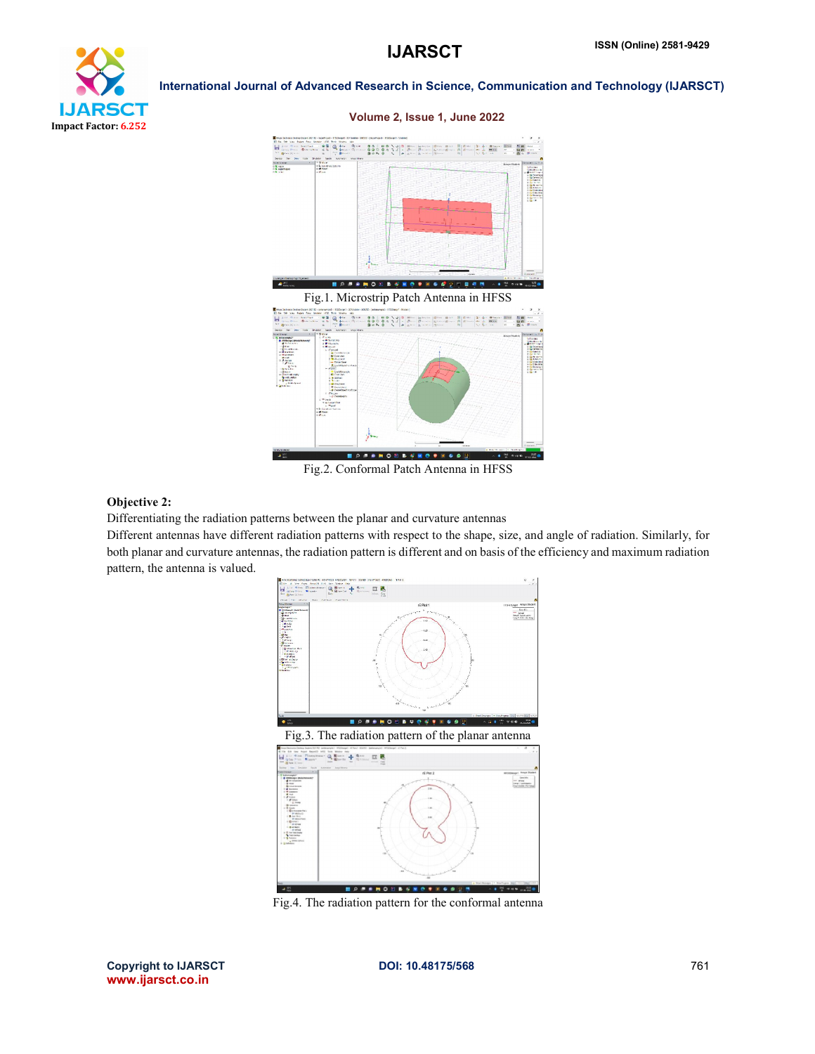Volume 2, Issue 1, June 2022



International Journal of Advanced Research in Science, Communication and Technology (IJARSCT)



Fig.2. Conformal Patch Antenna in HFSS

### Objective 2:

Differentiating the radiation patterns between the planar and curvature antennas

Different antennas have different radiation patterns with respect to the shape, size, and angle of radiation. Similarly, for both planar and curvature antennas, the radiation pattern is different and on basis of the efficiency and maximum radiation pattern, the antenna is valued.



Fig.4. The radiation pattern for the conformal antenna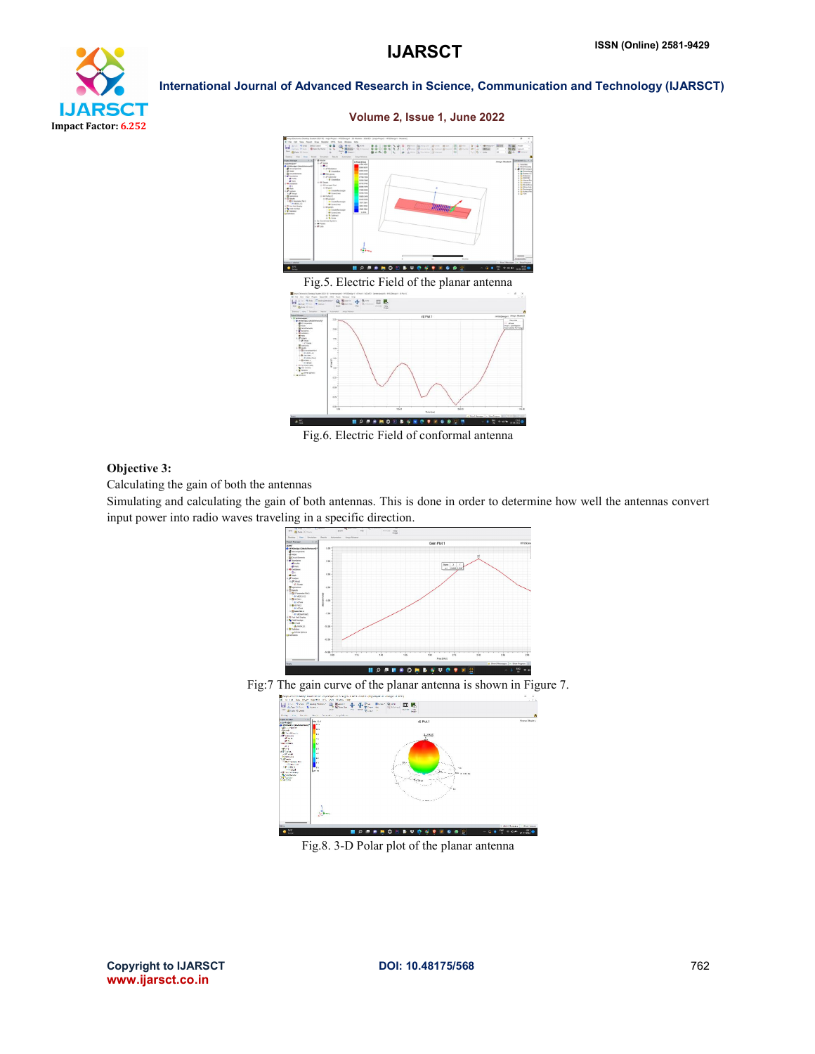Volume 2, Issue 1, June 2022



International Journal of Advanced Research in Science, Communication and Technology (IJARSCT)

## $129.7$ **89899999998888** Fig.5. Electric Field of the planar antenna t Van Runt Room)<br>- Dina <mark>(Cinange</mark>)<br>ap (Finn **Cinange**)  $\begin{picture}(150,10) \put(0,0){\line(1,0){100}} \put(10,0){\line(1,0){100}} \put(10,0){\line(1,0){100}} \put(10,0){\line(1,0){100}} \put(10,0){\line(1,0){100}} \put(10,0){\line(1,0){100}} \put(10,0){\line(1,0){100}} \put(10,0){\line(1,0){100}} \put(10,0){\line(1,0){100}} \put(10,0){\line(1,0){100}} \put(10,0){\line(1,0){100}}$ ü.  $9.86$

Fig.6. Electric Field of conformal antenna

### Objective 3:

Calculating the gain of both the antennas

Simulating and calculating the gain of both antennas. This is done in order to determine how well the antennas convert input power into radio waves traveling in a specific direction.



Fig.8. 3-D Polar plot of the planar antenna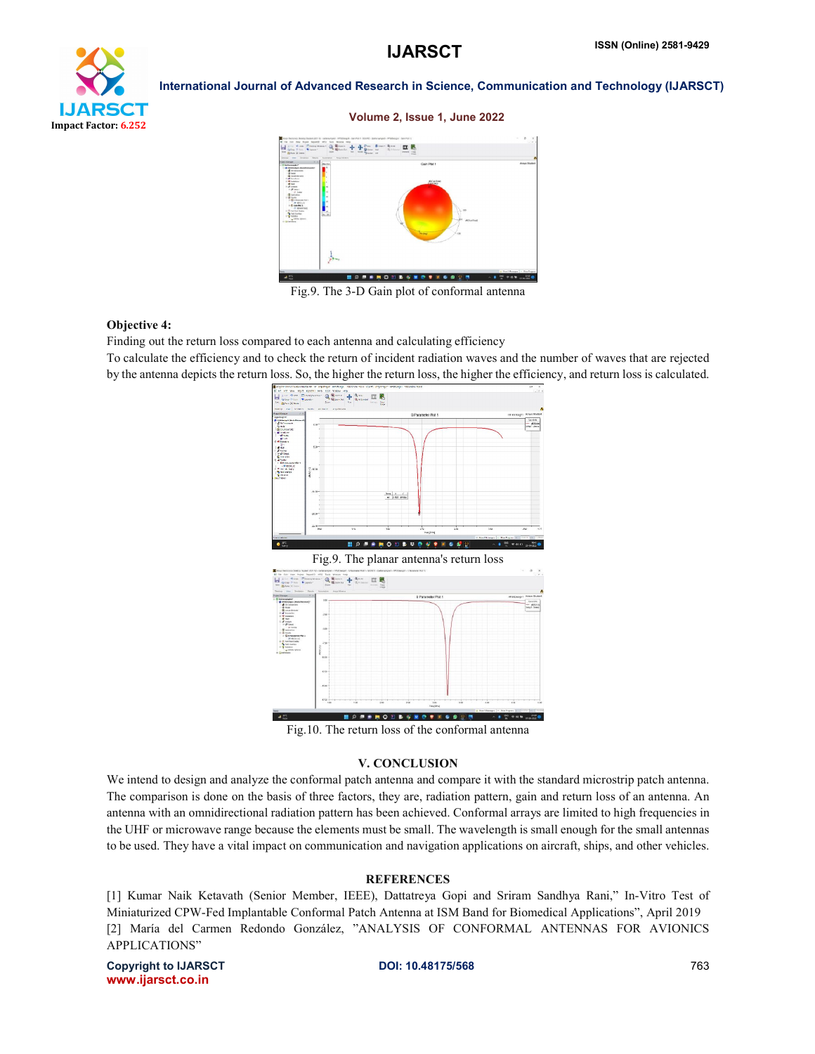# oan Impact Factor: 6.252

### International Journal of Advanced Research in Science, Communication and Technology (IJARSCT)

### Volume 2, Issue 1, June 2022



Fig.9. The 3-D Gain plot of conformal antenna

### Objective 4:

Finding out the return loss compared to each antenna and calculating efficiency

To calculate the efficiency and to check the return of incident radiation waves and the number of waves that are rejected by the antenna depicts the return loss. So, the higher the return loss, the higher the efficiency, and return loss is calculated.



Fig.10. The return loss of the conformal antenna

### V. CONCLUSION

We intend to design and analyze the conformal patch antenna and compare it with the standard microstrip patch antenna. The comparison is done on the basis of three factors, they are, radiation pattern, gain and return loss of an antenna. An antenna with an omnidirectional radiation pattern has been achieved. Conformal arrays are limited to high frequencies in the UHF or microwave range because the elements must be small. The wavelength is small enough for the small antennas to be used. They have a vital impact on communication and navigation applications on aircraft, ships, and other vehicles.

### **REFERENCES**

[1] Kumar Naik Ketavath (Senior Member, IEEE), Dattatreya Gopi and Sriram Sandhya Rani," In-Vitro Test of Miniaturized CPW-Fed Implantable Conformal Patch Antenna at ISM Band for Biomedical Applications", April 2019 [2] María del Carmen Redondo González, "ANALYSIS OF CONFORMAL ANTENNAS FOR AVIONICS APPLICATIONS"

Copyright to IJARSCT **DOI: 10.48175/568 Properties and COVID-10.48175/568 Properties and COVID-10.48175/568** www.ijarsct.co.in